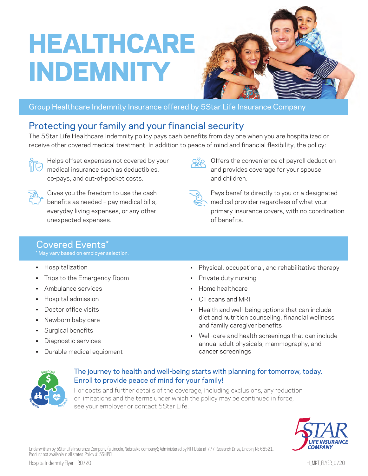# HEALTHCARE INDEMNITY



Offers the convenience of payroll deduction and provides coverage for your spouse

Pays benefits directly to you or a designated medical provider regardless of what your

primary insurance covers, with no coordination

### Group Healthcare Indemnity Insurance offered by 5Star Life Insurance Company

## Protecting your family and your financial security

The 5Star Life Healthcare Indemnity policy pays cash benefits from day one when you are hospitalized or receive other covered medical treatment. In addition to peace of mind and financial flexibility, the policy:



Helps offset expenses not covered by your medical insurance such as deductibles, co-pays, and out-of-pocket costs.



Gives you the freedom to use the cash benefits as needed – pay medical bills, everyday living expenses, or any other unexpected expenses.

## Covered Events\*

\* May vary based on employer selection.

- Hospitalization
- Trips to the Emergency Room
- Ambulance services
- Hospital admission
- Doctor office visits
- Newborn baby care
- Surgical benefits
- Diagnostic services
- Durable medical equipment
- Physical, occupational, and rehabilitative therapy
- Private duty nursing

and children.

of benefits.

- Home healthcare
- CT scans and MRI
- Health and well-being options that can include diet and nutrition counseling, financial wellness and family caregiver benefits
- Well-care and health screenings that can include annual adult physicals, mammography, and cancer screenings



#### The journey to health and well-being starts with planning for tomorrow, today. Enroll to provide peace of mind for your family!

For costs and further details of the coverage, including exclusions, any reduction or limitations and the terms under which the policy may be continued in force, see your employer or contact 5Star Life.



Underwritten by 5Star Life Insurance Company (a Lincoln, Nebraska company); Administered by NTT Data at 777 Research Drive, Lincoln, NE 68521. Product not available in all states. Policy #: 5SHIPOL